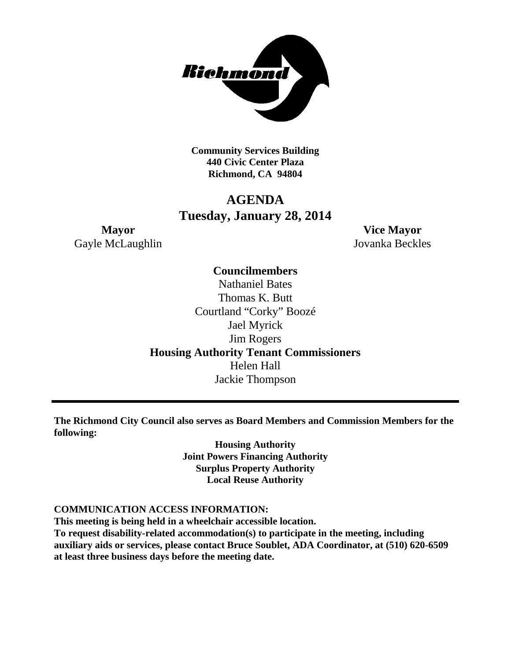

**Community Services Building 440 Civic Center Plaza Richmond, CA 94804**

# **AGENDA Tuesday, January 28, 2014**

Gayle McLaughlin Jovanka Beckles

**Mayor Vice Mayor**

# **Councilmembers**

Nathaniel Bates Thomas K. Butt Courtland "Corky" Boozé Jael Myrick Jim Rogers **Housing Authority Tenant Commissioners** Helen Hall Jackie Thompson

**The Richmond City Council also serves as Board Members and Commission Members for the following:**

> **Housing Authority Joint Powers Financing Authority Surplus Property Authority Local Reuse Authority**

# **COMMUNICATION ACCESS INFORMATION:**

**This meeting is being held in a wheelchair accessible location. To request disability-related accommodation(s) to participate in the meeting, including auxiliary aids or services, please contact Bruce Soublet, ADA Coordinator, at (510) 620-6509 at least three business days before the meeting date.**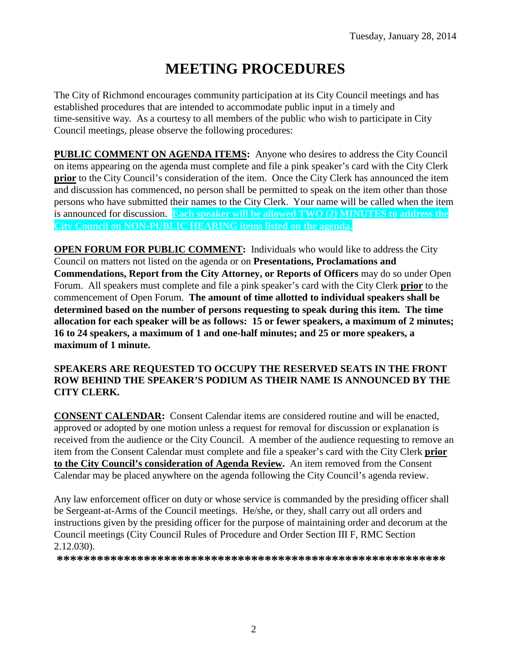# **MEETING PROCEDURES**

The City of Richmond encourages community participation at its City Council meetings and has established procedures that are intended to accommodate public input in a timely and time-sensitive way. As a courtesy to all members of the public who wish to participate in City Council meetings, please observe the following procedures:

**PUBLIC COMMENT ON AGENDA ITEMS:** Anyone who desires to address the City Council on items appearing on the agenda must complete and file a pink speaker's card with the City Clerk **prior** to the City Council's consideration of the item. Once the City Clerk has announced the item and discussion has commenced, no person shall be permitted to speak on the item other than those persons who have submitted their names to the City Clerk. Your name will be called when the item is announced for discussion. **Each speaker will be allowed TWO (2) MINUTES to address the City Council on NON-PUBLIC HEARING items listed on the agenda.**

**OPEN FORUM FOR PUBLIC COMMENT:** Individuals who would like to address the City Council on matters not listed on the agenda or on **Presentations, Proclamations and Commendations, Report from the City Attorney, or Reports of Officers** may do so under Open Forum. All speakers must complete and file a pink speaker's card with the City Clerk **prior** to the commencement of Open Forum. **The amount of time allotted to individual speakers shall be determined based on the number of persons requesting to speak during this item. The time allocation for each speaker will be as follows: 15 or fewer speakers, a maximum of 2 minutes; 16 to 24 speakers, a maximum of 1 and one-half minutes; and 25 or more speakers, a maximum of 1 minute.**

# **SPEAKERS ARE REQUESTED TO OCCUPY THE RESERVED SEATS IN THE FRONT ROW BEHIND THE SPEAKER'S PODIUM AS THEIR NAME IS ANNOUNCED BY THE CITY CLERK.**

**CONSENT CALENDAR:** Consent Calendar items are considered routine and will be enacted, approved or adopted by one motion unless a request for removal for discussion or explanation is received from the audience or the City Council. A member of the audience requesting to remove an item from the Consent Calendar must complete and file a speaker's card with the City Clerk **prior to the City Council's consideration of Agenda Review.** An item removed from the Consent Calendar may be placed anywhere on the agenda following the City Council's agenda review.

Any law enforcement officer on duty or whose service is commanded by the presiding officer shall be Sergeant-at-Arms of the Council meetings. He/she, or they, shall carry out all orders and instructions given by the presiding officer for the purpose of maintaining order and decorum at the Council meetings (City Council Rules of Procedure and Order Section III F, RMC Section 2.12.030).

**\*\*\*\*\*\*\*\*\*\*\*\*\*\*\*\*\*\*\*\*\*\*\*\*\*\*\*\*\*\*\*\*\*\*\*\*\*\*\*\*\*\*\*\*\*\*\*\*\*\*\*\*\*\*\*\*\*\***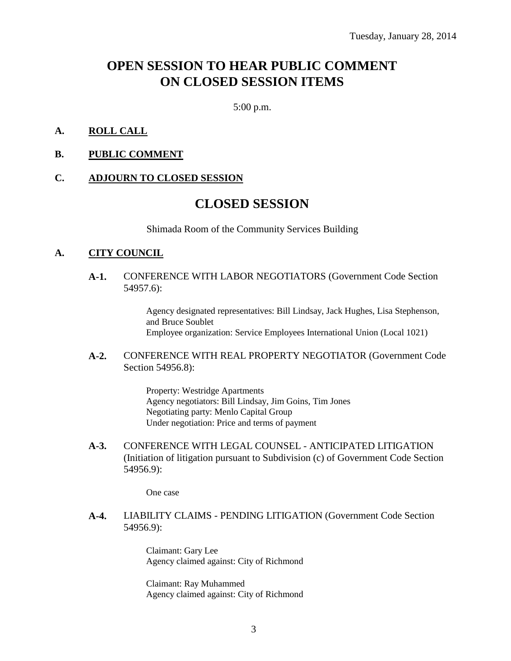# **OPEN SESSION TO HEAR PUBLIC COMMENT ON CLOSED SESSION ITEMS**

5:00 p.m.

## **A. ROLL CALL**

**B. PUBLIC COMMENT**

#### **C. ADJOURN TO CLOSED SESSION**

# **CLOSED SESSION**

Shimada Room of the Community Services Building

## **A. CITY COUNCIL**

**A-1.** CONFERENCE WITH LABOR NEGOTIATORS (Government Code Section 54957.6):

> Agency designated representatives: Bill Lindsay, Jack Hughes, Lisa Stephenson, and Bruce Soublet Employee organization: Service Employees International Union (Local 1021)

#### **A-2.** CONFERENCE WITH REAL PROPERTY NEGOTIATOR (Government Code Section 54956.8):

Property: Westridge Apartments Agency negotiators: Bill Lindsay, Jim Goins, Tim Jones Negotiating party: Menlo Capital Group Under negotiation: Price and terms of payment

**A-3.** CONFERENCE WITH LEGAL COUNSEL - ANTICIPATED LITIGATION (Initiation of litigation pursuant to Subdivision (c) of Government Code Section 54956.9):

One case

**A-4.** LIABILITY CLAIMS - PENDING LITIGATION (Government Code Section 54956.9):

> Claimant: Gary Lee Agency claimed against: City of Richmond

> Claimant: Ray Muhammed Agency claimed against: City of Richmond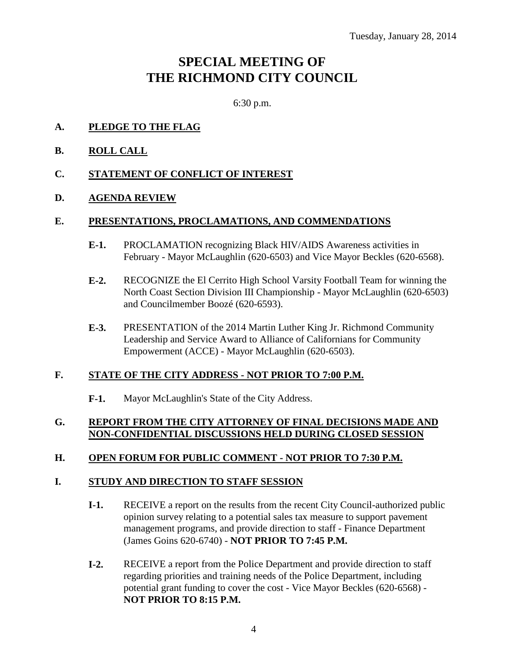# **SPECIAL MEETING OF THE RICHMOND CITY COUNCIL**

6:30 p.m.

- **A. PLEDGE TO THE FLAG**
- **B. ROLL CALL**
- **C. STATEMENT OF CONFLICT OF INTEREST**

# **D. AGENDA REVIEW**

### **E. PRESENTATIONS, PROCLAMATIONS, AND COMMENDATIONS**

- **E-1.** PROCLAMATION recognizing Black HIV/AIDS Awareness activities in February - Mayor McLaughlin (620-6503) and Vice Mayor Beckles (620-6568).
- **E-2.** RECOGNIZE the El Cerrito High School Varsity Football Team for winning the North Coast Section Division III Championship - Mayor McLaughlin (620-6503) and Councilmember Boozé (620-6593).
- **E-3.** PRESENTATION of the 2014 Martin Luther King Jr. Richmond Community Leadership and Service Award to Alliance of Californians for Community Empowerment (ACCE) - Mayor McLaughlin (620-6503).

# **F. STATE OF THE CITY ADDRESS - NOT PRIOR TO 7:00 P.M.**

**F-1.** Mayor McLaughlin's State of the City Address.

# **G. REPORT FROM THE CITY ATTORNEY OF FINAL DECISIONS MADE AND NON-CONFIDENTIAL DISCUSSIONS HELD DURING CLOSED SESSION**

# **H. OPEN FORUM FOR PUBLIC COMMENT - NOT PRIOR TO 7:30 P.M.**

# **I. STUDY AND DIRECTION TO STAFF SESSION**

- **I-1.** RECEIVE a report on the results from the recent City Council-authorized public opinion survey relating to a potential sales tax measure to support pavement management programs, and provide direction to staff - Finance Department (James Goins 620-6740) - **NOT PRIOR TO 7:45 P.M.**
- **I-2.** RECEIVE a report from the Police Department and provide direction to staff regarding priorities and training needs of the Police Department, including potential grant funding to cover the cost - Vice Mayor Beckles (620-6568) - **NOT PRIOR TO 8:15 P.M.**